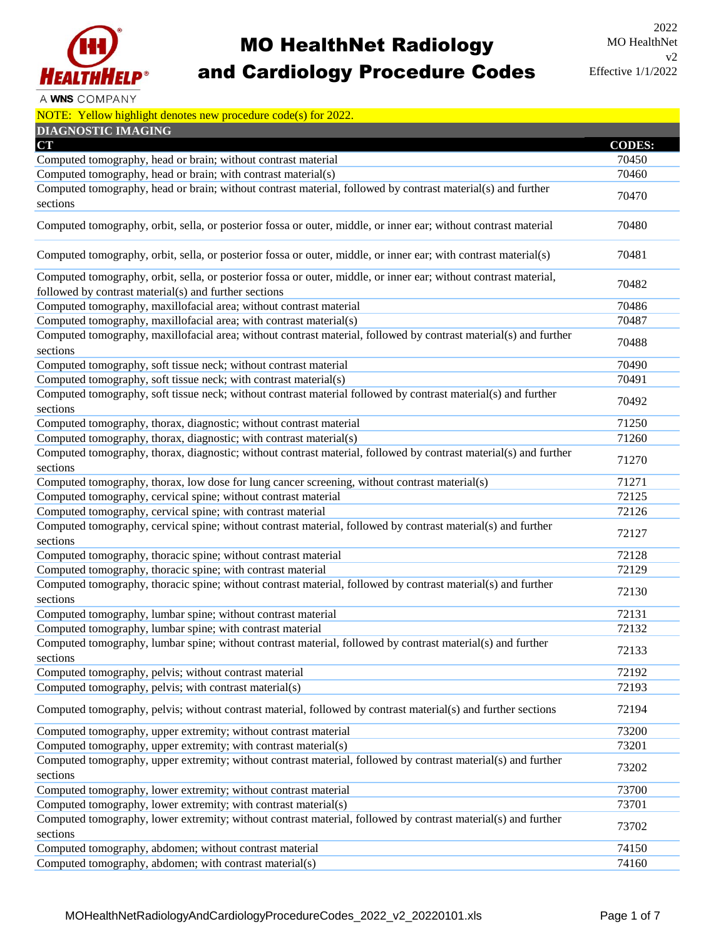

## MO HealthNet Radiology and Cardiology Procedure Codes

A WNS COMPANY

| NOTE: Yellow highlight denotes new procedure code(s) for $2022$ . |  |  |
|-------------------------------------------------------------------|--|--|
|                                                                   |  |  |

| <b>DIAGNOSTIC IMAGING</b>                                                                                                                                                 |               |
|---------------------------------------------------------------------------------------------------------------------------------------------------------------------------|---------------|
| <b>CT</b>                                                                                                                                                                 | <b>CODES:</b> |
| Computed tomography, head or brain; without contrast material                                                                                                             | 70450         |
| Computed tomography, head or brain; with contrast material(s)                                                                                                             | 70460         |
| Computed tomography, head or brain; without contrast material, followed by contrast material(s) and further<br>sections                                                   | 70470         |
| Computed tomography, orbit, sella, or posterior fossa or outer, middle, or inner ear; without contrast material                                                           | 70480         |
| Computed tomography, orbit, sella, or posterior fossa or outer, middle, or inner ear; with contrast material(s)                                                           | 70481         |
| Computed tomography, orbit, sella, or posterior fossa or outer, middle, or inner ear; without contrast material,<br>followed by contrast material(s) and further sections | 70482         |
| Computed tomography, maxillofacial area; without contrast material                                                                                                        | 70486         |
| Computed tomography, maxillofacial area; with contrast material(s)                                                                                                        | 70487         |
| Computed tomography, maxillofacial area; without contrast material, followed by contrast material(s) and further<br>sections                                              | 70488         |
| Computed tomography, soft tissue neck; without contrast material                                                                                                          | 70490         |
| Computed tomography, soft tissue neck; with contrast material(s)                                                                                                          | 70491         |
| Computed tomography, soft tissue neck; without contrast material followed by contrast material(s) and further<br>sections                                                 | 70492         |
| Computed tomography, thorax, diagnostic; without contrast material                                                                                                        | 71250         |
| Computed tomography, thorax, diagnostic; with contrast material(s)                                                                                                        | 71260         |
| Computed tomography, thorax, diagnostic; without contrast material, followed by contrast material(s) and further<br>sections                                              | 71270         |
| Computed tomography, thorax, low dose for lung cancer screening, without contrast material(s)                                                                             | 71271         |
| Computed tomography, cervical spine; without contrast material                                                                                                            | 72125         |
| Computed tomography, cervical spine; with contrast material                                                                                                               | 72126         |
| Computed tomography, cervical spine; without contrast material, followed by contrast material(s) and further<br>sections                                                  | 72127         |
| Computed tomography, thoracic spine; without contrast material                                                                                                            | 72128         |
| Computed tomography, thoracic spine; with contrast material                                                                                                               | 72129         |
| Computed tomography, thoracic spine; without contrast material, followed by contrast material(s) and further<br>sections                                                  | 72130         |
| Computed tomography, lumbar spine; without contrast material                                                                                                              | 72131         |
| Computed tomography, lumbar spine; with contrast material                                                                                                                 | 72132         |
| Computed tomography, lumbar spine; without contrast material, followed by contrast material(s) and further<br>sections                                                    | 72133         |
| Computed tomography, pelvis; without contrast material                                                                                                                    | 72192         |
| Computed tomography, pelvis; with contrast material(s)                                                                                                                    | 72193         |
| Computed tomography, pelvis; without contrast material, followed by contrast material(s) and further sections                                                             | 72194         |
| Computed tomography, upper extremity; without contrast material                                                                                                           | 73200         |
| Computed tomography, upper extremity; with contrast material(s)                                                                                                           | 73201         |
| Computed tomography, upper extremity; without contrast material, followed by contrast material(s) and further<br>sections                                                 | 73202         |
| Computed tomography, lower extremity; without contrast material                                                                                                           | 73700         |
| Computed tomography, lower extremity; with contrast material(s)                                                                                                           | 73701         |
| Computed tomography, lower extremity; without contrast material, followed by contrast material(s) and further<br>sections                                                 | 73702         |
| Computed tomography, abdomen; without contrast material                                                                                                                   | 74150         |
| Computed tomography, abdomen; with contrast material(s)                                                                                                                   | 74160         |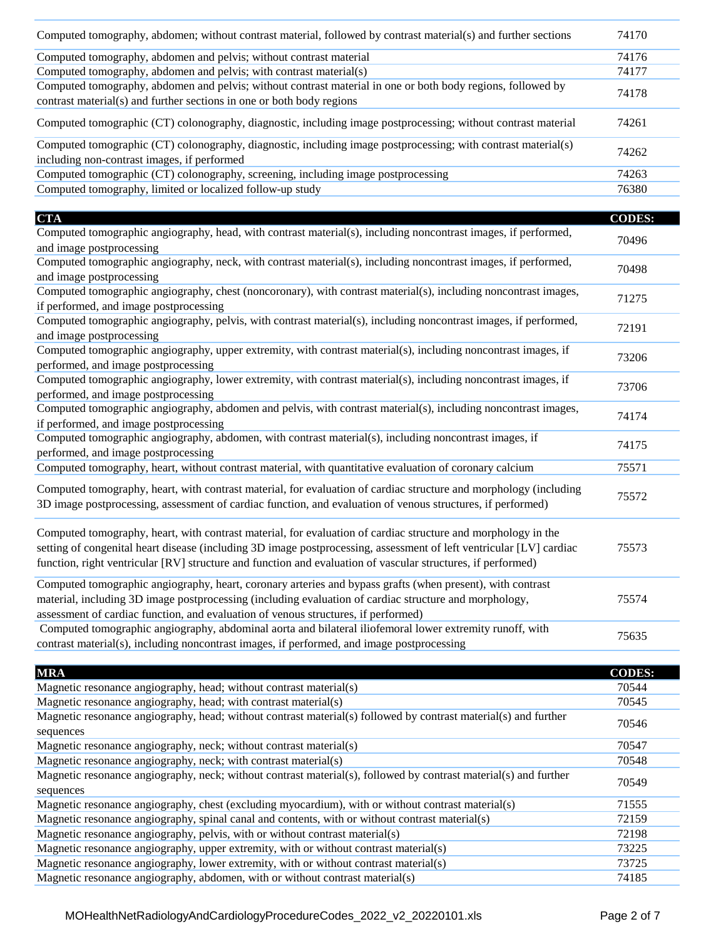| Computed tomography, abdomen; without contrast material, followed by contrast material(s) and further sections | 74170 |
|----------------------------------------------------------------------------------------------------------------|-------|
| Computed tomography, abdomen and pelvis; without contrast material                                             | 74176 |
| Computed tomography, abdomen and pelvis; with contrast material(s)                                             | 74177 |
| Computed tomography, abdomen and pelvis; without contrast material in one or both body regions, followed by    | 74178 |
| contrast material(s) and further sections in one or both body regions                                          |       |
| Computed tomographic (CT) colonography, diagnostic, including image postprocessing; without contrast material  | 74261 |
| Computed tomographic (CT) colonography, diagnostic, including image postprocessing; with contrast material(s)  | 74262 |
| including non-contrast images, if performed                                                                    |       |
| Computed tomographic (CT) colonography, screening, including image postprocessing                              | 74263 |
| Computed tomography, limited or localized follow-up study                                                      | 76380 |

| <b>CTA</b>                                                                                                          | <b>CODES:</b> |  |
|---------------------------------------------------------------------------------------------------------------------|---------------|--|
| Computed tomographic angiography, head, with contrast material(s), including noncontrast images, if performed,      |               |  |
| and image postprocessing                                                                                            | 70496         |  |
| Computed tomographic angiography, neck, with contrast material(s), including noncontrast images, if performed,      | 70498         |  |
| and image postprocessing                                                                                            |               |  |
| Computed tomographic angiography, chest (noncoronary), with contrast material(s), including noncontrast images,     | 71275         |  |
| if performed, and image postprocessing                                                                              |               |  |
| Computed tomographic angiography, pelvis, with contrast material(s), including noncontrast images, if performed,    | 72191         |  |
| and image postprocessing                                                                                            |               |  |
| Computed tomographic angiography, upper extremity, with contrast material(s), including noncontrast images, if      | 73206         |  |
| performed, and image postprocessing                                                                                 |               |  |
| Computed tomographic angiography, lower extremity, with contrast material(s), including noncontrast images, if      | 73706         |  |
| performed, and image postprocessing                                                                                 |               |  |
| Computed tomographic angiography, abdomen and pelvis, with contrast material(s), including noncontrast images,      | 74174         |  |
| if performed, and image postprocessing                                                                              |               |  |
| Computed tomographic angiography, abdomen, with contrast material(s), including noncontrast images, if              | 74175         |  |
| performed, and image postprocessing                                                                                 |               |  |
| Computed tomography, heart, without contrast material, with quantitative evaluation of coronary calcium             | 75571         |  |
| Computed tomography, heart, with contrast material, for evaluation of cardiac structure and morphology (including   |               |  |
| 3D image postprocessing, assessment of cardiac function, and evaluation of venous structures, if performed)         | 75572         |  |
|                                                                                                                     |               |  |
| Computed tomography, heart, with contrast material, for evaluation of cardiac structure and morphology in the       |               |  |
| setting of congenital heart disease (including 3D image postprocessing, assessment of left ventricular [LV] cardiac | 75573         |  |
| function, right ventricular [RV] structure and function and evaluation of vascular structures, if performed)        |               |  |
|                                                                                                                     |               |  |
| Computed tomographic angiography, heart, coronary arteries and bypass grafts (when present), with contrast          |               |  |
| material, including 3D image postprocessing (including evaluation of cardiac structure and morphology,              | 75574         |  |
| assessment of cardiac function, and evaluation of venous structures, if performed)                                  |               |  |
| Computed tomographic angiography, abdominal aorta and bilateral iliofemoral lower extremity runoff, with            | 75635         |  |
| contrast material(s), including noncontrast images, if performed, and image postprocessing                          |               |  |

| <b>MRA</b>                                                                                                                    | <b>CODES:</b> |
|-------------------------------------------------------------------------------------------------------------------------------|---------------|
| Magnetic resonance angiography, head; without contrast material(s)                                                            | 70544         |
| Magnetic resonance angiography, head; with contrast material(s)                                                               | 70545         |
| Magnetic resonance angiography, head; without contrast material(s) followed by contrast material(s) and further<br>sequences  | 70546         |
| Magnetic resonance angiography, neck; without contrast material(s)                                                            | 70547         |
| Magnetic resonance angiography, neck; with contrast material(s)                                                               | 70548         |
| Magnetic resonance angiography, neck; without contrast material(s), followed by contrast material(s) and further<br>sequences | 70549         |
| Magnetic resonance angiography, chest (excluding myocardium), with or without contrast material(s)                            | 71555         |
| Magnetic resonance angiography, spinal canal and contents, with or without contrast material(s)                               | 72159         |
| Magnetic resonance angiography, pelvis, with or without contrast material(s)                                                  | 72198         |
| Magnetic resonance angiography, upper extremity, with or without contrast material(s)                                         | 73225         |
| Magnetic resonance angiography, lower extremity, with or without contrast material(s)                                         | 73725         |
| Magnetic resonance angiography, abdomen, with or without contrast material(s)                                                 | 74185         |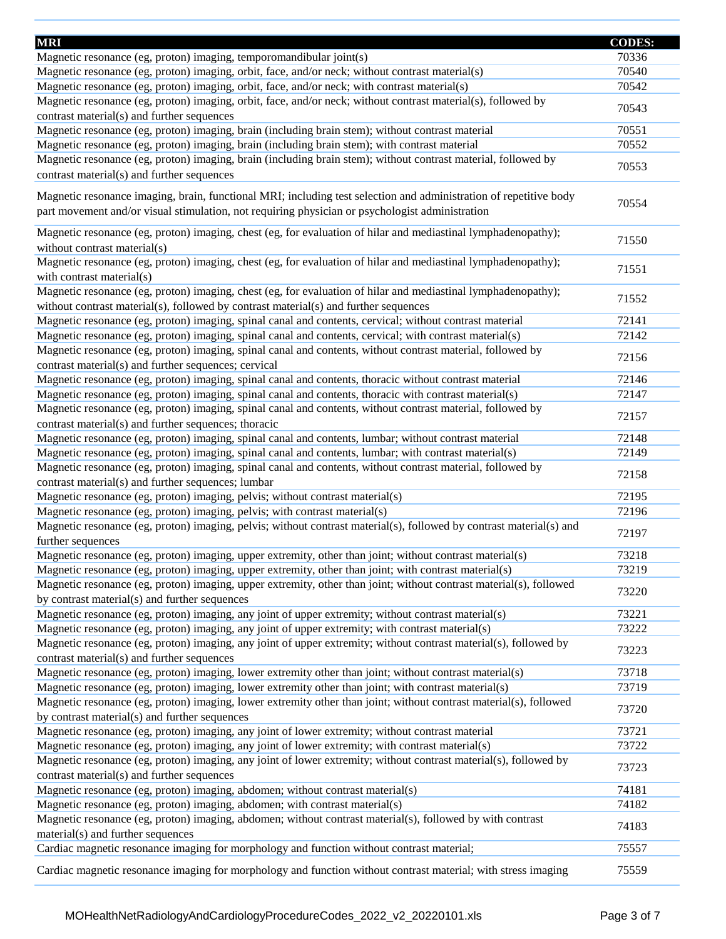| <b>MRI</b>                                                                                                                                                                                                           | <b>CODES:</b> |
|----------------------------------------------------------------------------------------------------------------------------------------------------------------------------------------------------------------------|---------------|
| Magnetic resonance (eg, proton) imaging, temporomandibular joint(s)                                                                                                                                                  | 70336         |
| Magnetic resonance (eg, proton) imaging, orbit, face, and/or neck; without contrast material(s)                                                                                                                      | 70540         |
| Magnetic resonance (eg, proton) imaging, orbit, face, and/or neck; with contrast material(s)                                                                                                                         | 70542         |
| Magnetic resonance (eg, proton) imaging, orbit, face, and/or neck; without contrast material(s), followed by                                                                                                         |               |
| contrast material(s) and further sequences                                                                                                                                                                           | 70543         |
| Magnetic resonance (eg, proton) imaging, brain (including brain stem); without contrast material                                                                                                                     | 70551         |
| Magnetic resonance (eg, proton) imaging, brain (including brain stem); with contrast material                                                                                                                        | 70552         |
| Magnetic resonance (eg, proton) imaging, brain (including brain stem); without contrast material, followed by                                                                                                        |               |
| contrast material(s) and further sequences                                                                                                                                                                           | 70553         |
| Magnetic resonance imaging, brain, functional MRI; including test selection and administration of repetitive body<br>part movement and/or visual stimulation, not requiring physician or psychologist administration | 70554         |
| Magnetic resonance (eg, proton) imaging, chest (eg, for evaluation of hilar and mediastinal lymphadenopathy);<br>without contrast material(s)                                                                        | 71550         |
| Magnetic resonance (eg, proton) imaging, chest (eg, for evaluation of hilar and mediastinal lymphadenopathy);<br>with contrast material(s)                                                                           | 71551         |
| Magnetic resonance (eg, proton) imaging, chest (eg, for evaluation of hilar and mediastinal lymphadenopathy);<br>without contrast material(s), followed by contrast material(s) and further sequences                | 71552         |
| Magnetic resonance (eg, proton) imaging, spinal canal and contents, cervical; without contrast material                                                                                                              | 72141         |
| Magnetic resonance (eg, proton) imaging, spinal canal and contents, cervical; with contrast material(s)                                                                                                              | 72142         |
| Magnetic resonance (eg, proton) imaging, spinal canal and contents, without contrast material, followed by                                                                                                           |               |
| contrast material(s) and further sequences; cervical                                                                                                                                                                 | 72156         |
| Magnetic resonance (eg, proton) imaging, spinal canal and contents, thoracic without contrast material                                                                                                               | 72146         |
| Magnetic resonance (eg, proton) imaging, spinal canal and contents, thoracic with contrast material(s)                                                                                                               | 72147         |
| Magnetic resonance (eg, proton) imaging, spinal canal and contents, without contrast material, followed by<br>contrast material(s) and further sequences; thoracic                                                   | 72157         |
| Magnetic resonance (eg, proton) imaging, spinal canal and contents, lumbar; without contrast material                                                                                                                | 72148         |
| Magnetic resonance (eg, proton) imaging, spinal canal and contents, lumbar; with contrast material(s)                                                                                                                | 72149         |
| Magnetic resonance (eg, proton) imaging, spinal canal and contents, without contrast material, followed by<br>contrast material(s) and further sequences; lumbar                                                     | 72158         |
| Magnetic resonance (eg, proton) imaging, pelvis; without contrast material(s)                                                                                                                                        | 72195         |
| Magnetic resonance (eg, proton) imaging, pelvis; with contrast material(s)                                                                                                                                           | 72196         |
| Magnetic resonance (eg, proton) imaging, pelvis; without contrast material(s), followed by contrast material(s) and<br>further sequences                                                                             | 72197         |
| Magnetic resonance (eg, proton) imaging, upper extremity, other than joint; without contrast material(s)                                                                                                             | 73218         |
| Magnetic resonance (eg, proton) imaging, upper extremity, other than joint; with contrast material(s)                                                                                                                | 73219         |
| Magnetic resonance (eg, proton) imaging, upper extremity, other than joint; without contrast material(s), followed<br>by contrast material(s) and further sequences                                                  | 73220         |
| Magnetic resonance (eg, proton) imaging, any joint of upper extremity; without contrast material(s)                                                                                                                  | 73221         |
| Magnetic resonance (eg, proton) imaging, any joint of upper extremity; with contrast material(s)                                                                                                                     | 73222         |
| Magnetic resonance (eg, proton) imaging, any joint of upper extremity; without contrast material(s), followed by<br>contrast material(s) and further sequences                                                       | 73223         |
| Magnetic resonance (eg, proton) imaging, lower extremity other than joint; without contrast material(s)                                                                                                              | 73718         |
| Magnetic resonance (eg, proton) imaging, lower extremity other than joint; with contrast material(s)                                                                                                                 | 73719         |
| Magnetic resonance (eg, proton) imaging, lower extremity other than joint; without contrast material(s), followed<br>by contrast material(s) and further sequences                                                   | 73720         |
| Magnetic resonance (eg, proton) imaging, any joint of lower extremity; without contrast material                                                                                                                     | 73721         |
| Magnetic resonance (eg, proton) imaging, any joint of lower extremity; with contrast material(s)                                                                                                                     | 73722         |
| Magnetic resonance (eg, proton) imaging, any joint of lower extremity; without contrast material(s), followed by<br>contrast material(s) and further sequences                                                       | 73723         |
| Magnetic resonance (eg, proton) imaging, abdomen; without contrast material(s)                                                                                                                                       | 74181         |
| Magnetic resonance (eg, proton) imaging, abdomen; with contrast material(s)                                                                                                                                          | 74182         |
| Magnetic resonance (eg, proton) imaging, abdomen; without contrast material(s), followed by with contrast<br>material(s) and further sequences                                                                       | 74183         |
| Cardiac magnetic resonance imaging for morphology and function without contrast material;                                                                                                                            | 75557         |
| Cardiac magnetic resonance imaging for morphology and function without contrast material; with stress imaging                                                                                                        | 75559         |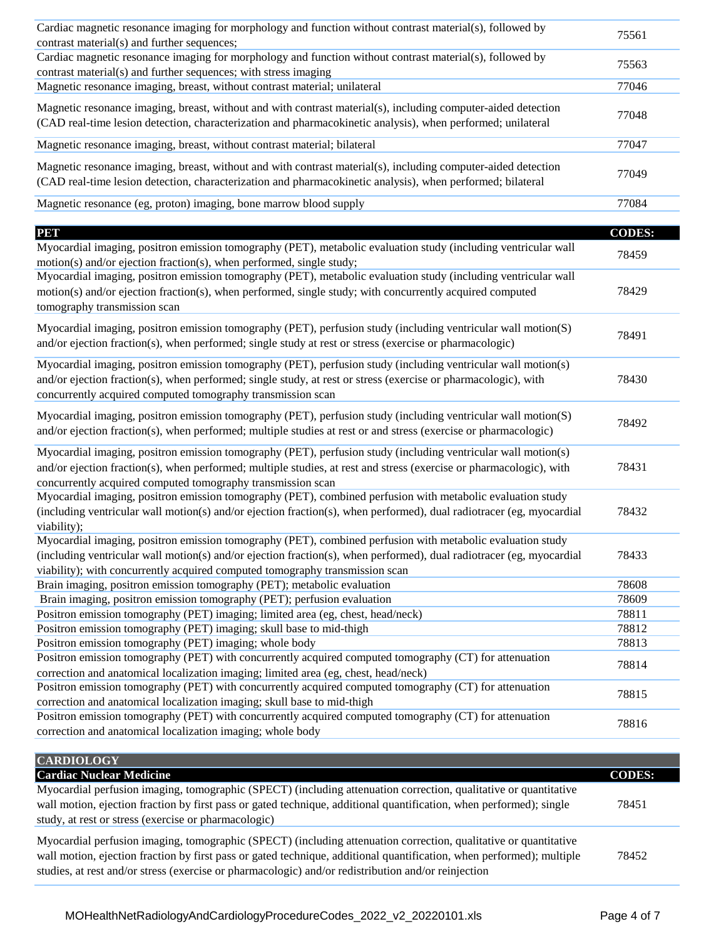| Cardiac magnetic resonance imaging for morphology and function without contrast material(s), followed by<br>contrast material(s) and further sequences;                                                                      | 75561 |
|------------------------------------------------------------------------------------------------------------------------------------------------------------------------------------------------------------------------------|-------|
| Cardiac magnetic resonance imaging for morphology and function without contrast material(s), followed by<br>contrast material(s) and further sequences; with stress imaging                                                  | 75563 |
| Magnetic resonance imaging, breast, without contrast material; unilateral                                                                                                                                                    | 77046 |
| Magnetic resonance imaging, breast, without and with contrast material(s), including computer-aided detection<br>(CAD real-time lesion detection, characterization and pharmacokinetic analysis), when performed; unilateral | 77048 |
| Magnetic resonance imaging, breast, without contrast material; bilateral                                                                                                                                                     | 77047 |
| Magnetic resonance imaging, breast, without and with contrast material(s), including computer-aided detection<br>(CAD real-time lesion detection, characterization and pharmacokinetic analysis), when performed; bilateral  | 77049 |
| Magnetic resonance (eg, proton) imaging, bone marrow blood supply                                                                                                                                                            | 77084 |

| PM                                                                                                                                                                                                                                                                                                                 | <b>CODES:</b> |
|--------------------------------------------------------------------------------------------------------------------------------------------------------------------------------------------------------------------------------------------------------------------------------------------------------------------|---------------|
| Myocardial imaging, positron emission tomography (PET), metabolic evaluation study (including ventricular wall<br>motion(s) and/or ejection fraction(s), when performed, single study;                                                                                                                             | 78459         |
| Myocardial imaging, positron emission tomography (PET), metabolic evaluation study (including ventricular wall<br>motion(s) and/or ejection fraction(s), when performed, single study; with concurrently acquired computed<br>tomography transmission scan                                                         | 78429         |
| Myocardial imaging, positron emission tomography (PET), perfusion study (including ventricular wall motion(S)<br>and/or ejection fraction(s), when performed; single study at rest or stress (exercise or pharmacologic)                                                                                           | 78491         |
| Myocardial imaging, positron emission tomography (PET), perfusion study (including ventricular wall motion(s)<br>and/or ejection fraction(s), when performed; single study, at rest or stress (exercise or pharmacologic), with<br>concurrently acquired computed tomography transmission scan                     | 78430         |
| Myocardial imaging, positron emission tomography (PET), perfusion study (including ventricular wall motion(S)<br>and/or ejection fraction(s), when performed; multiple studies at rest or and stress (exercise or pharmacologic)                                                                                   | 78492         |
| Myocardial imaging, positron emission tomography (PET), perfusion study (including ventricular wall motion(s)<br>and/or ejection fraction(s), when performed; multiple studies, at rest and stress (exercise or pharmacologic), with<br>concurrently acquired computed tomography transmission scan                | 78431         |
| Myocardial imaging, positron emission tomography (PET), combined perfusion with metabolic evaluation study<br>(including ventricular wall motion(s) and/or ejection fraction(s), when performed), dual radiotracer (eg, myocardial<br>viability);                                                                  | 78432         |
| Myocardial imaging, positron emission tomography (PET), combined perfusion with metabolic evaluation study<br>(including ventricular wall motion(s) and/or ejection fraction(s), when performed), dual radiotracer (eg, myocardial<br>viability); with concurrently acquired computed tomography transmission scan | 78433         |
| Brain imaging, positron emission tomography (PET); metabolic evaluation                                                                                                                                                                                                                                            | 78608         |
| Brain imaging, positron emission tomography (PET); perfusion evaluation                                                                                                                                                                                                                                            | 78609         |
| Positron emission tomography (PET) imaging; limited area (eg, chest, head/neck)                                                                                                                                                                                                                                    | 78811         |
| Positron emission tomography (PET) imaging; skull base to mid-thigh                                                                                                                                                                                                                                                | 78812         |
| Positron emission tomography (PET) imaging; whole body                                                                                                                                                                                                                                                             | 78813         |
| Positron emission tomography (PET) with concurrently acquired computed tomography (CT) for attenuation<br>correction and anatomical localization imaging; limited area (eg, chest, head/neck)                                                                                                                      | 78814         |
| Positron emission tomography (PET) with concurrently acquired computed tomography (CT) for attenuation<br>correction and anatomical localization imaging; skull base to mid-thigh                                                                                                                                  | 78815         |
| Positron emission tomography (PET) with concurrently acquired computed tomography (CT) for attenuation<br>correction and anatomical localization imaging; whole body                                                                                                                                               | 78816         |

| <b>CARDIOLOGY</b>                                                                                                                                                                                                                                                                                                                                |               |
|--------------------------------------------------------------------------------------------------------------------------------------------------------------------------------------------------------------------------------------------------------------------------------------------------------------------------------------------------|---------------|
| <b>Cardiac Nuclear Medicine</b>                                                                                                                                                                                                                                                                                                                  | <b>CODES:</b> |
| Myocardial perfusion imaging, tomographic (SPECT) (including attenuation correction, qualitative or quantitative                                                                                                                                                                                                                                 |               |
| wall motion, ejection fraction by first pass or gated technique, additional quantification, when performed); single                                                                                                                                                                                                                              | 78451         |
| study, at rest or stress (exercise or pharmacologic)                                                                                                                                                                                                                                                                                             |               |
| Myocardial perfusion imaging, tomographic (SPECT) (including attenuation correction, qualitative or quantitative<br>wall motion, ejection fraction by first pass or gated technique, additional quantification, when performed); multiple<br>studies, at rest and/or stress (exercise or pharmacologic) and/or redistribution and/or reinjection | 78452         |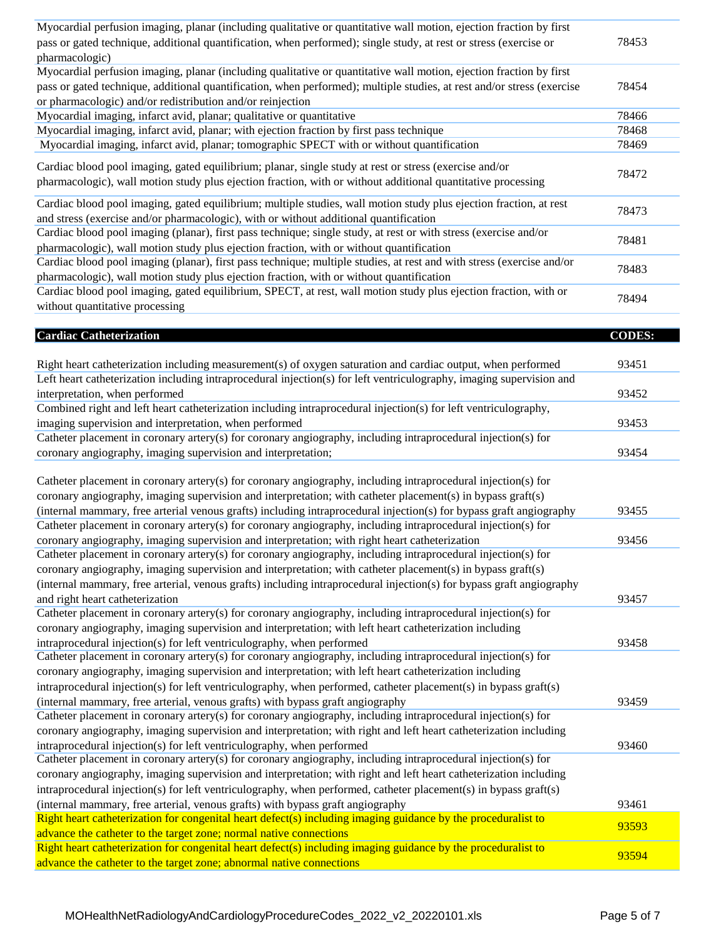| Myocardial perfusion imaging, planar (including qualitative or quantitative wall motion, ejection fraction by first<br>pass or gated technique, additional quantification, when performed); single study, at rest or stress (exercise or<br>pharmacologic) | 78453         |
|------------------------------------------------------------------------------------------------------------------------------------------------------------------------------------------------------------------------------------------------------------|---------------|
| Myocardial perfusion imaging, planar (including qualitative or quantitative wall motion, ejection fraction by first                                                                                                                                        |               |
| pass or gated technique, additional quantification, when performed); multiple studies, at rest and/or stress (exercise<br>or pharmacologic) and/or redistribution and/or reinjection                                                                       | 78454         |
| Myocardial imaging, infarct avid, planar; qualitative or quantitative                                                                                                                                                                                      | 78466         |
| Myocardial imaging, infarct avid, planar; with ejection fraction by first pass technique                                                                                                                                                                   | 78468         |
| Myocardial imaging, infarct avid, planar; tomographic SPECT with or without quantification                                                                                                                                                                 | 78469         |
|                                                                                                                                                                                                                                                            |               |
| Cardiac blood pool imaging, gated equilibrium; planar, single study at rest or stress (exercise and/or<br>pharmacologic), wall motion study plus ejection fraction, with or without additional quantitative processing                                     | 78472         |
| Cardiac blood pool imaging, gated equilibrium; multiple studies, wall motion study plus ejection fraction, at rest<br>and stress (exercise and/or pharmacologic), with or without additional quantification                                                | 78473         |
| Cardiac blood pool imaging (planar), first pass technique; single study, at rest or with stress (exercise and/or                                                                                                                                           | 78481         |
| pharmacologic), wall motion study plus ejection fraction, with or without quantification                                                                                                                                                                   |               |
| Cardiac blood pool imaging (planar), first pass technique; multiple studies, at rest and with stress (exercise and/or                                                                                                                                      |               |
| pharmacologic), wall motion study plus ejection fraction, with or without quantification                                                                                                                                                                   | 78483         |
| Cardiac blood pool imaging, gated equilibrium, SPECT, at rest, wall motion study plus ejection fraction, with or<br>without quantitative processing                                                                                                        | 78494         |
|                                                                                                                                                                                                                                                            |               |
| <b>Cardiac Catheterization</b>                                                                                                                                                                                                                             | <b>CODES:</b> |
|                                                                                                                                                                                                                                                            |               |
| Right heart catheterization including measurement(s) of oxygen saturation and cardiac output, when performed                                                                                                                                               | 93451         |
| Left heart catheterization including intraprocedural injection(s) for left ventriculography, imaging supervision and                                                                                                                                       |               |
| interpretation, when performed                                                                                                                                                                                                                             | 93452         |
| Combined right and left heart catheterization including intraprocedural injection(s) for left ventriculography,                                                                                                                                            |               |
| imaging supervision and interpretation, when performed                                                                                                                                                                                                     | 93453         |
| Catheter placement in coronary artery(s) for coronary angiography, including intraprocedural injection(s) for                                                                                                                                              |               |
| coronary angiography, imaging supervision and interpretation;                                                                                                                                                                                              | 93454         |
|                                                                                                                                                                                                                                                            |               |
| Catheter placement in coronary artery(s) for coronary angiography, including intraprocedural injection(s) for                                                                                                                                              |               |
| coronary angiography, imaging supervision and interpretation; with catheter placement(s) in bypass graft(s)                                                                                                                                                |               |
| (internal mammary, free arterial venous grafts) including intraprocedural injection(s) for bypass graft angiography                                                                                                                                        | 93455         |
| Catheter placement in coronary artery(s) for coronary angiography, including intraprocedural injection(s) for                                                                                                                                              |               |
| coronary angiography, imaging supervision and interpretation; with right heart catheterization                                                                                                                                                             | 93456         |
| Catheter placement in coronary artery(s) for coronary angiography, including intraprocedural injection(s) for                                                                                                                                              |               |
| coronary angiography, imaging supervision and interpretation; with catheter placement(s) in bypass graft(s)                                                                                                                                                |               |
| (internal mammary, free arterial, venous grafts) including intraprocedural injection(s) for bypass graft angiography                                                                                                                                       |               |
| and right heart catheterization                                                                                                                                                                                                                            | 93457         |
| Catheter placement in coronary artery(s) for coronary angiography, including intraprocedural injection(s) for                                                                                                                                              |               |
| coronary angiography, imaging supervision and interpretation; with left heart catheterization including                                                                                                                                                    |               |
| intraprocedural injection(s) for left ventriculography, when performed                                                                                                                                                                                     | 93458         |
| Catheter placement in coronary artery(s) for coronary angiography, including intraprocedural injection(s) for                                                                                                                                              |               |
| coronary angiography, imaging supervision and interpretation; with left heart catheterization including                                                                                                                                                    |               |
| intraprocedural injection(s) for left ventriculography, when performed, catheter placement(s) in bypass graft(s)                                                                                                                                           |               |
| (internal mammary, free arterial, venous grafts) with bypass graft angiography                                                                                                                                                                             | 93459         |
| Catheter placement in coronary artery(s) for coronary angiography, including intraprocedural injection(s) for                                                                                                                                              |               |
| coronary angiography, imaging supervision and interpretation; with right and left heart catheterization including                                                                                                                                          |               |
|                                                                                                                                                                                                                                                            |               |
| intraprocedural injection(s) for left ventriculography, when performed<br>Catheter placement in coronary artery(s) for coronary angiography, including intraprocedural injection(s) for                                                                    | 93460         |
| coronary angiography, imaging supervision and interpretation; with right and left heart catheterization including                                                                                                                                          |               |
|                                                                                                                                                                                                                                                            |               |
| intraprocedural injection(s) for left ventriculography, when performed, catheter placement(s) in bypass graft(s)                                                                                                                                           |               |
| (internal mammary, free arterial, venous grafts) with bypass graft angiography                                                                                                                                                                             | 93461         |
| Right heart catheterization for congenital heart defect(s) including imaging guidance by the proceduralist to                                                                                                                                              | 93593         |
| advance the catheter to the target zone; normal native connections                                                                                                                                                                                         |               |
| Right heart catheterization for congenital heart defect(s) including imaging guidance by the proceduralist to<br>advance the catheter to the target zone; abnormal native connections                                                                      | 93594         |
|                                                                                                                                                                                                                                                            |               |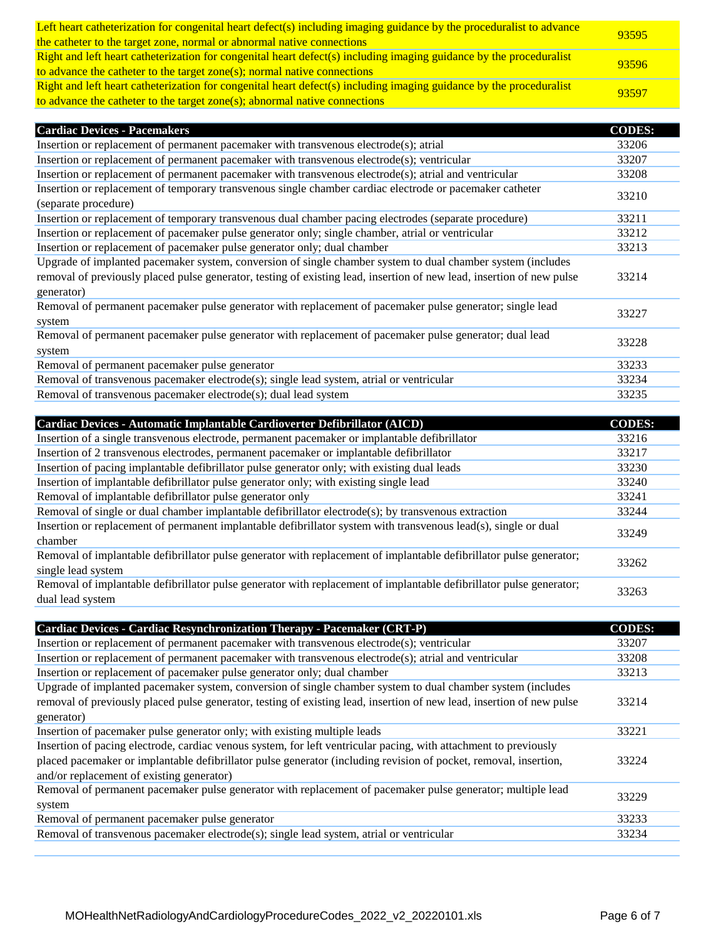| Left heart catheterization for congenital heart defect(s) including imaging guidance by the proceduralist to advance<br>the catheter to the target zone, normal or abnormal native connections  | 93595 |
|-------------------------------------------------------------------------------------------------------------------------------------------------------------------------------------------------|-------|
| Right and left heart catheterization for congenital heart defect(s) including imaging guidance by the proceduralist<br>to advance the catheter to the target zone(s); normal native connections | 93596 |
| Right and left heart catheterization for congenital heart defect(s) including imaging guidance by the proceduralist                                                                             | 93597 |
| to advance the catheter to the target zone $(s)$ ; abnormal native connections                                                                                                                  |       |

| <b>Cardiac Devices - Pacemakers</b>                                                                                                                                                                                                                | <b>CODES:</b> |
|----------------------------------------------------------------------------------------------------------------------------------------------------------------------------------------------------------------------------------------------------|---------------|
| Insertion or replacement of permanent pacemaker with transvenous electrode(s); atrial                                                                                                                                                              | 33206         |
| Insertion or replacement of permanent pacemaker with transvenous electrode(s); ventricular                                                                                                                                                         | 33207         |
| Insertion or replacement of permanent pacemaker with transvenous electrode(s); atrial and ventricular                                                                                                                                              | 33208         |
| Insertion or replacement of temporary transvenous single chamber cardiac electrode or pacemaker catheter<br>(separate procedure)                                                                                                                   | 33210         |
| Insertion or replacement of temporary transvenous dual chamber pacing electrodes (separate procedure)                                                                                                                                              | 33211         |
| Insertion or replacement of pacemaker pulse generator only; single chamber, atrial or ventricular                                                                                                                                                  | 33212         |
| Insertion or replacement of pacemaker pulse generator only; dual chamber                                                                                                                                                                           | 33213         |
| Upgrade of implanted pacemaker system, conversion of single chamber system to dual chamber system (includes<br>removal of previously placed pulse generator, testing of existing lead, insertion of new lead, insertion of new pulse<br>generator) | 33214         |
| Removal of permanent pacemaker pulse generator with replacement of pacemaker pulse generator; single lead<br>system                                                                                                                                | 33227         |
| Removal of permanent pacemaker pulse generator with replacement of pacemaker pulse generator; dual lead<br>system                                                                                                                                  | 33228         |
| Removal of permanent pacemaker pulse generator                                                                                                                                                                                                     | 33233         |
| Removal of transvenous pacemaker electrode(s); single lead system, atrial or ventricular                                                                                                                                                           | 33234         |
| Removal of transvenous pacemaker electrode(s); dual lead system                                                                                                                                                                                    | 33235         |
|                                                                                                                                                                                                                                                    |               |

| Cardiac Devices - Automatic Implantable Cardioverter Defibrillator (AICD)                                           | <b>CODES:</b> |
|---------------------------------------------------------------------------------------------------------------------|---------------|
| Insertion of a single transvenous electrode, permanent pacemaker or implantable defibrillator                       | 33216         |
| Insertion of 2 transvenous electrodes, permanent pacemaker or implantable defibrillator                             | 33217         |
| Insertion of pacing implantable defibrillator pulse generator only; with existing dual leads                        | 33230         |
| Insertion of implantable defibrillator pulse generator only; with existing single lead                              | 33240         |
| Removal of implantable defibrillator pulse generator only                                                           | 33241         |
| Removal of single or dual chamber implantable defibrillator electrode(s); by transvenous extraction                 | 33244         |
| Insertion or replacement of permanent implantable defibrillator system with transvenous lead(s), single or dual     | 33249         |
| chamber                                                                                                             |               |
| Removal of implantable defibrillator pulse generator with replacement of implantable defibrillator pulse generator; | 33262         |
| single lead system                                                                                                  |               |
| Removal of implantable defibrillator pulse generator with replacement of implantable defibrillator pulse generator; | 33263         |
| dual lead system                                                                                                    |               |

| Cardiac Devices - Cardiac Resynchronization Therapy - Pacemaker (CRT-P)                                               | <b>CODES:</b> |
|-----------------------------------------------------------------------------------------------------------------------|---------------|
| Insertion or replacement of permanent pacemaker with transvenous electrode(s); ventricular                            | 33207         |
| Insertion or replacement of permanent pacemaker with transvenous electrode(s); atrial and ventricular                 | 33208         |
| Insertion or replacement of pacemaker pulse generator only; dual chamber                                              | 33213         |
| Upgrade of implanted pacemaker system, conversion of single chamber system to dual chamber system (includes           |               |
| removal of previously placed pulse generator, testing of existing lead, insertion of new lead, insertion of new pulse | 33214         |
| generator)                                                                                                            |               |
| Insertion of pacemaker pulse generator only; with existing multiple leads                                             | 33221         |
| Insertion of pacing electrode, cardiac venous system, for left ventricular pacing, with attachment to previously      |               |
| placed pacemaker or implantable defibrillator pulse generator (including revision of pocket, removal, insertion,      | 33224         |
| and/or replacement of existing generator)                                                                             |               |
| Removal of permanent pacemaker pulse generator with replacement of pacemaker pulse generator; multiple lead           | 33229         |
| system                                                                                                                |               |
| Removal of permanent pacemaker pulse generator                                                                        | 33233         |
| Removal of transvenous pacemaker electrode(s); single lead system, atrial or ventricular                              | 33234         |
|                                                                                                                       |               |